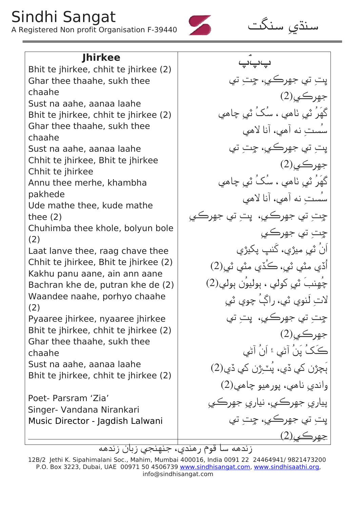## Sindhi Sangat

<sup>A</sup> Registered Non profit Organisation F-39440 گ 吠



Bhit te jhirkee, chhit te jhirkee (2) Ghar thee thaahe, sukh thee chaahe Sust na aahe, aanaa laahe Bhit te jhirkee, chhit te jhirkee (2) Ghar thee thaahe, sukh thee chaahe Sust na aahe, aanaa laahe Chhit te jhirkee, Bhit te jhirkee Chhit te jhirkee Annu thee merhe, khambha pakhede Ude mathe thee, kude mathe thee (2) Chuhimba thee khole, bolyun bole (2) Laat lanve thee, raag chave thee Chhit te jhirkee, Bhit te jhirkee (2) Kakhu panu aane, ain ann aane Bachran khe de, putran khe de (2) Waandee naahe, porhyo chaahe (2) Pyaaree jhirkee, nyaaree jhirkee Bhit te jhirkee, chhit te jhirkee (2) Ghar thee thaahe, sukh thee chaahe Sust na aahe, aanaa laahe Bhit te jhirkee, chhit te jhirkee (2) Poet- Parsram 'Zia' Singer- Vandana Nirankari Music Director - Jagdish Lalwani

**Jhirkee**  $\frac{1}{2}$ پتِ تي جهرڪيِ، چِتِ تي  $(2)$ جهرڪي |کھر ثي ِٺاھي ، سک ث*ي چ*اھي سُستِ نه آهي، آنا لاهي پت تي جهرڪي، چت تي  $(2)$ جهرڪي |کھر ثي ِٺاھي ، سک ث*ي چ*اھي سُستِ نه أهي، أنا لاهي چتِ تي جهرڪيِ، پتِ تي جهرڪي چِتِ تي جهرڪي | ان ثيي ميژي، كنىپ پكيژي اُڏي مڻي ٽي، ڪُڏي مڻي ٽي $(2)$ چھِنب ٽ*ي* کولي ، ٻوليون ٻولي(2)  $\hspace{0.1 cm}$  $\Rightarrow$ لاتِ لنوي ثي، راڳ چوي ثي چتِ تي جهرڪي، پت تي  $(2)$ جهرڪي ڪڪ پن اڻي ۽ ان اڻي  $\geq$ 䁮  $(2)$ ٻچڙن کي ڏي، پٽرِژن کي ڏي  $(2)$ واندی ناهی، پورهیو چاهی پيار*ي ج*هرڪي، نياري جهرڪي پت تي جهرڪي، چت تي جهرڪي(2<u>)</u>

زندهه سا قوم رهندي، جنهنجي زبان زندهه

<sup>12</sup>B/2 Jethi K. Sipahimalani Soc., Mahim, Mumbai 400016, India 0091 22 24464941/ 9821473200 P.O. Box 3223, Dubai, UAE 00971 50 4506739 www.sindhisangat.com, www.sindhisaathi.org, info@sindhisangat.com